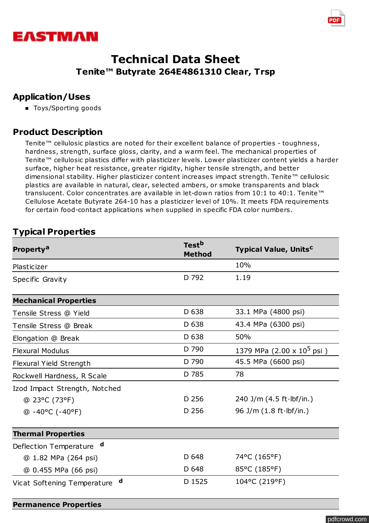



### **Application/Uses**

■ Toys/Sporting goods

## **Product Description**

Tenite™ cellulosic plastics are noted for their excellent balance of properties - toughness, hardness, strength, surface gloss, clarity, and a warm feel. The mechanical properties of Tenite™ cellulosic plastics differ with plasticizer levels. Lower plasticizer content yields a harder surface, higher heat resistance, greater rigidity, higher tensile strength, and better dimensional stability. Higher plasticizer content increases impact strength. Tenite™ cellulosic plastics are available in natural, clear, selected ambers, or smoke transparents and black translucent. Color concentrates are available in let-down ratios from 10:1 to 40:1. Tenite™ Cellulose Acetate Butyrate 264-10 has a plasticizer level of 10%. It meets FDA requirements for certain food-contact applications when supplied in specific FDA color numbers.

# **Typical Properties**

| Property <sup>a</sup>                 | Test <sup>b</sup><br><b>Method</b> | <b>Typical Value, Units<sup>c</sup></b>    |  |
|---------------------------------------|------------------------------------|--------------------------------------------|--|
| Plasticizer                           |                                    | 10%                                        |  |
| Specific Gravity                      | D 792                              | 1.19                                       |  |
| <b>Mechanical Properties</b>          |                                    |                                            |  |
| Tensile Stress @ Yield                | D 638                              | 33.1 MPa (4800 psi)                        |  |
| Tensile Stress @ Break                | D 638                              | 43.4 MPa (6300 psi)                        |  |
| Elongation @ Break                    | D 638                              | 50%                                        |  |
| <b>Flexural Modulus</b>               | D 790                              | 1379 MPa $(2.00 \times 10^5 \,\text{psi})$ |  |
| <b>Flexural Yield Strength</b>        | D 790                              | 45.5 MPa (6600 psi)                        |  |
| Rockwell Hardness, R Scale            | D 785                              | 78                                         |  |
| Izod Impact Strength, Notched         |                                    |                                            |  |
| @ 23°C (73°F)                         | D 256                              | 240 J/m $(4.5 ft·lbf/in.)$                 |  |
| $@ - 40°C (-40°F)$                    | D 256                              | 96 J/m $(1.8 ft·lbf/in.)$                  |  |
| <b>Thermal Properties</b>             |                                    |                                            |  |
| $\mathbf d$<br>Deflection Temperature |                                    |                                            |  |
| @ 1.82 MPa (264 psi)                  | D 648                              | 74°C (165°F)                               |  |
| @ 0.455 MPa (66 psi)                  | D 648                              | 85°C (185°F)                               |  |
| d<br>Vicat Softening Temperature      | D 1525                             | 104°C (219°F)                              |  |
| <b>Permanence Properties</b>          |                                    |                                            |  |